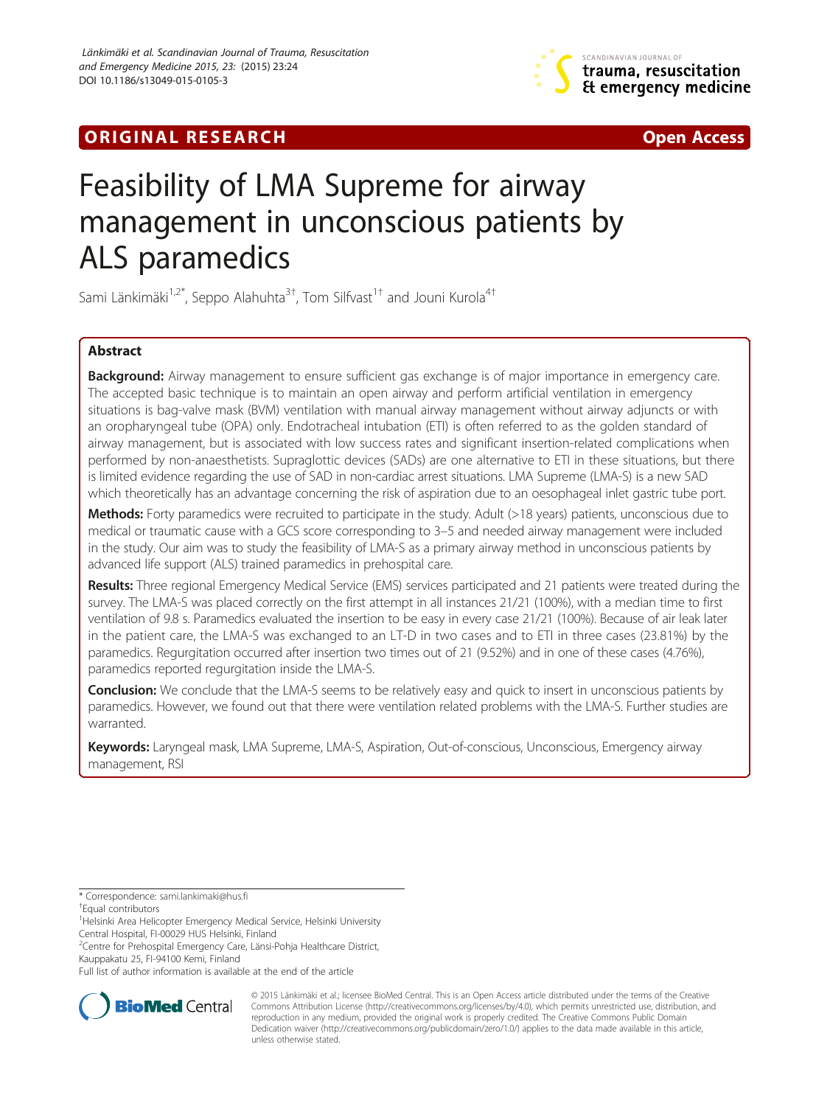

## **ORIGINAL RESEARCH CONFIDENTIAL CONFIDENTIAL CONFIDENTIAL CONFIDENTIAL CONFIDENTIAL CONFIDENTIAL CONFIDENTIAL CONFIDENTIAL CONFIDENTIAL CONFIDENTIAL CONFIDENTIAL CONFIDENTIAL CONFIDENTIAL CONFIDENTIAL CONFIDENTIAL CONFIDEN**

# Feasibility of LMA Supreme for airway management in unconscious patients by ALS paramedics

Sami Länkimäki<sup>1,2\*</sup>, Seppo Alahuhta<sup>3†</sup>, Tom Silfvast<sup>1†</sup> and Jouni Kurola<sup>4†</sup>

## Abstract

Background: Airway management to ensure sufficient gas exchange is of major importance in emergency care. The accepted basic technique is to maintain an open airway and perform artificial ventilation in emergency situations is bag-valve mask (BVM) ventilation with manual airway management without airway adjuncts or with an oropharyngeal tube (OPA) only. Endotracheal intubation (ETI) is often referred to as the golden standard of airway management, but is associated with low success rates and significant insertion-related complications when performed by non-anaesthetists. Supraglottic devices (SADs) are one alternative to ETI in these situations, but there is limited evidence regarding the use of SAD in non-cardiac arrest situations. LMA Supreme (LMA-S) is a new SAD which theoretically has an advantage concerning the risk of aspiration due to an oesophageal inlet gastric tube port.

Methods: Forty paramedics were recruited to participate in the study. Adult (>18 years) patients, unconscious due to medical or traumatic cause with a GCS score corresponding to 3–5 and needed airway management were included in the study. Our aim was to study the feasibility of LMA-S as a primary airway method in unconscious patients by advanced life support (ALS) trained paramedics in prehospital care.

Results: Three regional Emergency Medical Service (EMS) services participated and 21 patients were treated during the survey. The LMA-S was placed correctly on the first attempt in all instances 21/21 (100%), with a median time to first ventilation of 9.8 s. Paramedics evaluated the insertion to be easy in every case 21/21 (100%). Because of air leak later in the patient care, the LMA-S was exchanged to an LT-D in two cases and to ETI in three cases (23.81%) by the paramedics. Regurgitation occurred after insertion two times out of 21 (9.52%) and in one of these cases (4.76%), paramedics reported regurgitation inside the LMA-S.

Conclusion: We conclude that the LMA-S seems to be relatively easy and quick to insert in unconscious patients by paramedics. However, we found out that there were ventilation related problems with the LMA-S. Further studies are warranted.

Keywords: Laryngeal mask, LMA Supreme, LMA-S, Aspiration, Out-of-conscious, Unconscious, Emergency airway management, RSI

\* Correspondence: [sami.lankimaki@hus.fi](mailto:sami.lankimaki@hus.fi) †

<sup>2</sup> Centre for Prehospital Emergency Care, Länsi-Pohja Healthcare District, Kauppakatu 25, FI-94100 Kemi, Finland

Full list of author information is available at the end of the article



© 2015 Länkimäki et al.; licensee BioMed Central. This is an Open Access article distributed under the terms of the Creative Commons Attribution License [\(http://creativecommons.org/licenses/by/4.0\)](http://creativecommons.org/licenses/by/4.0), which permits unrestricted use, distribution, and reproduction in any medium, provided the original work is properly credited. The Creative Commons Public Domain Dedication waiver [\(http://creativecommons.org/publicdomain/zero/1.0/](http://creativecommons.org/publicdomain/zero/1.0/)) applies to the data made available in this article, unless otherwise stated.

Equal contributors

<sup>&</sup>lt;sup>1</sup>Helsinki Area Helicopter Emergency Medical Service, Helsinki University Central Hospital, FI-00029 HUS Helsinki, Finland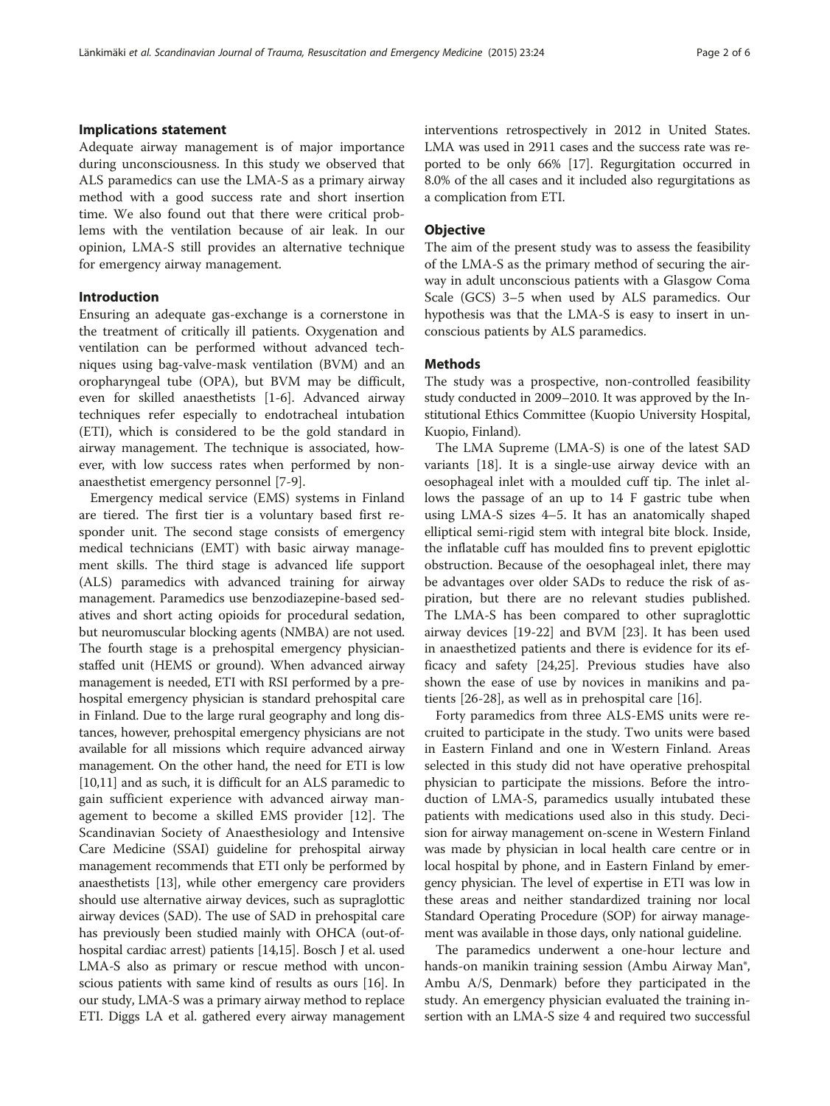## Implications statement

Adequate airway management is of major importance during unconsciousness. In this study we observed that ALS paramedics can use the LMA-S as a primary airway method with a good success rate and short insertion time. We also found out that there were critical problems with the ventilation because of air leak. In our opinion, LMA-S still provides an alternative technique for emergency airway management.

## Introduction

Ensuring an adequate gas-exchange is a cornerstone in the treatment of critically ill patients. Oxygenation and ventilation can be performed without advanced techniques using bag-valve-mask ventilation (BVM) and an oropharyngeal tube (OPA), but BVM may be difficult, even for skilled anaesthetists [[1-6](#page-4-0)]. Advanced airway techniques refer especially to endotracheal intubation (ETI), which is considered to be the gold standard in airway management. The technique is associated, however, with low success rates when performed by nonanaesthetist emergency personnel [[7-9\]](#page-4-0).

Emergency medical service (EMS) systems in Finland are tiered. The first tier is a voluntary based first responder unit. The second stage consists of emergency medical technicians (EMT) with basic airway management skills. The third stage is advanced life support (ALS) paramedics with advanced training for airway management. Paramedics use benzodiazepine-based sedatives and short acting opioids for procedural sedation, but neuromuscular blocking agents (NMBA) are not used. The fourth stage is a prehospital emergency physicianstaffed unit (HEMS or ground). When advanced airway management is needed, ETI with RSI performed by a prehospital emergency physician is standard prehospital care in Finland. Due to the large rural geography and long distances, however, prehospital emergency physicians are not available for all missions which require advanced airway management. On the other hand, the need for ETI is low [[10,11](#page-4-0)] and as such, it is difficult for an ALS paramedic to gain sufficient experience with advanced airway management to become a skilled EMS provider [\[12](#page-4-0)]. The Scandinavian Society of Anaesthesiology and Intensive Care Medicine (SSAI) guideline for prehospital airway management recommends that ETI only be performed by anaesthetists [[13](#page-4-0)], while other emergency care providers should use alternative airway devices, such as supraglottic airway devices (SAD). The use of SAD in prehospital care has previously been studied mainly with OHCA (out-ofhospital cardiac arrest) patients [\[14,15](#page-4-0)]. Bosch J et al. used LMA-S also as primary or rescue method with unconscious patients with same kind of results as ours [[16](#page-4-0)]. In our study, LMA-S was a primary airway method to replace ETI. Diggs LA et al. gathered every airway management interventions retrospectively in 2012 in United States. LMA was used in 2911 cases and the success rate was reported to be only 66% [[17](#page-4-0)]. Regurgitation occurred in 8.0% of the all cases and it included also regurgitations as a complication from ETI.

## **Objective**

The aim of the present study was to assess the feasibility of the LMA-S as the primary method of securing the airway in adult unconscious patients with a Glasgow Coma Scale (GCS) 3–5 when used by ALS paramedics. Our hypothesis was that the LMA-S is easy to insert in unconscious patients by ALS paramedics.

## Methods

The study was a prospective, non-controlled feasibility study conducted in 2009–2010. It was approved by the Institutional Ethics Committee (Kuopio University Hospital, Kuopio, Finland).

The LMA Supreme (LMA-S) is one of the latest SAD variants [\[18\]](#page-4-0). It is a single-use airway device with an oesophageal inlet with a moulded cuff tip. The inlet allows the passage of an up to 14 F gastric tube when using LMA-S sizes 4–5. It has an anatomically shaped elliptical semi-rigid stem with integral bite block. Inside, the inflatable cuff has moulded fins to prevent epiglottic obstruction. Because of the oesophageal inlet, there may be advantages over older SADs to reduce the risk of aspiration, but there are no relevant studies published. The LMA-S has been compared to other supraglottic airway devices [\[19](#page-4-0)-[22\]](#page-5-0) and BVM [[23](#page-5-0)]. It has been used in anaesthetized patients and there is evidence for its efficacy and safety [\[24,25\]](#page-5-0). Previous studies have also shown the ease of use by novices in manikins and patients [\[26](#page-5-0)-[28\]](#page-5-0), as well as in prehospital care [[16\]](#page-4-0).

Forty paramedics from three ALS-EMS units were recruited to participate in the study. Two units were based in Eastern Finland and one in Western Finland. Areas selected in this study did not have operative prehospital physician to participate the missions. Before the introduction of LMA-S, paramedics usually intubated these patients with medications used also in this study. Decision for airway management on-scene in Western Finland was made by physician in local health care centre or in local hospital by phone, and in Eastern Finland by emergency physician. The level of expertise in ETI was low in these areas and neither standardized training nor local Standard Operating Procedure (SOP) for airway management was available in those days, only national guideline.

The paramedics underwent a one-hour lecture and hands-on manikin training session (Ambu Airway Man®, Ambu A/S, Denmark) before they participated in the study. An emergency physician evaluated the training insertion with an LMA-S size 4 and required two successful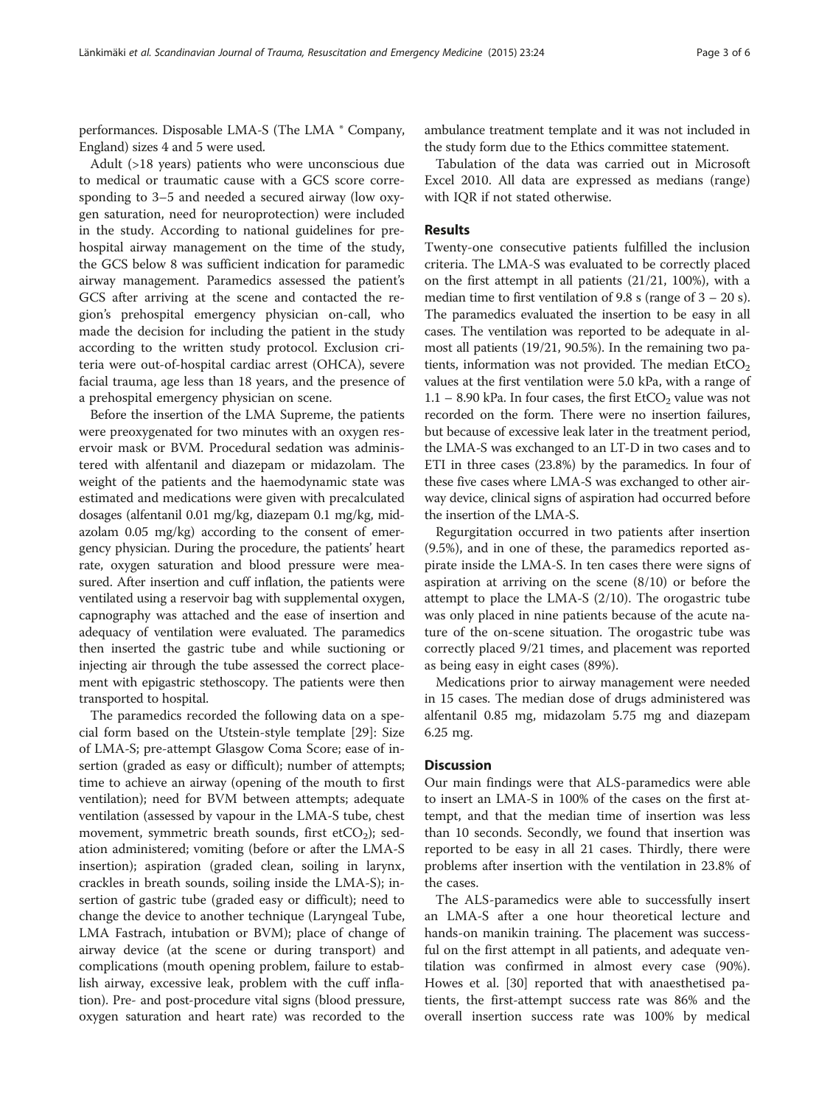performances. Disposable LMA-S (The LMA ® Company, England) sizes 4 and 5 were used.

Adult (>18 years) patients who were unconscious due to medical or traumatic cause with a GCS score corresponding to 3–5 and needed a secured airway (low oxygen saturation, need for neuroprotection) were included in the study. According to national guidelines for prehospital airway management on the time of the study, the GCS below 8 was sufficient indication for paramedic airway management. Paramedics assessed the patient's GCS after arriving at the scene and contacted the region's prehospital emergency physician on-call, who made the decision for including the patient in the study according to the written study protocol. Exclusion criteria were out-of-hospital cardiac arrest (OHCA), severe facial trauma, age less than 18 years, and the presence of a prehospital emergency physician on scene.

Before the insertion of the LMA Supreme, the patients were preoxygenated for two minutes with an oxygen reservoir mask or BVM. Procedural sedation was administered with alfentanil and diazepam or midazolam. The weight of the patients and the haemodynamic state was estimated and medications were given with precalculated dosages (alfentanil 0.01 mg/kg, diazepam 0.1 mg/kg, midazolam 0.05 mg/kg) according to the consent of emergency physician. During the procedure, the patients' heart rate, oxygen saturation and blood pressure were measured. After insertion and cuff inflation, the patients were ventilated using a reservoir bag with supplemental oxygen, capnography was attached and the ease of insertion and adequacy of ventilation were evaluated. The paramedics then inserted the gastric tube and while suctioning or injecting air through the tube assessed the correct placement with epigastric stethoscopy. The patients were then transported to hospital.

The paramedics recorded the following data on a special form based on the Utstein-style template [\[29\]](#page-5-0): Size of LMA-S; pre-attempt Glasgow Coma Score; ease of insertion (graded as easy or difficult); number of attempts; time to achieve an airway (opening of the mouth to first ventilation); need for BVM between attempts; adequate ventilation (assessed by vapour in the LMA-S tube, chest movement, symmetric breath sounds, first  $etCO<sub>2</sub>$ ); sedation administered; vomiting (before or after the LMA-S insertion); aspiration (graded clean, soiling in larynx, crackles in breath sounds, soiling inside the LMA-S); insertion of gastric tube (graded easy or difficult); need to change the device to another technique (Laryngeal Tube, LMA Fastrach, intubation or BVM); place of change of airway device (at the scene or during transport) and complications (mouth opening problem, failure to establish airway, excessive leak, problem with the cuff inflation). Pre- and post-procedure vital signs (blood pressure, oxygen saturation and heart rate) was recorded to the ambulance treatment template and it was not included in the study form due to the Ethics committee statement.

Tabulation of the data was carried out in Microsoft Excel 2010. All data are expressed as medians (range) with IQR if not stated otherwise.

## **Results**

Twenty-one consecutive patients fulfilled the inclusion criteria. The LMA-S was evaluated to be correctly placed on the first attempt in all patients (21/21, 100%), with a median time to first ventilation of 9.8 s (range of  $3 - 20$  s). The paramedics evaluated the insertion to be easy in all cases. The ventilation was reported to be adequate in almost all patients (19/21, 90.5%). In the remaining two patients, information was not provided. The median  $EtCO<sub>2</sub>$ values at the first ventilation were 5.0 kPa, with a range of  $1.1 - 8.90$  kPa. In four cases, the first EtCO<sub>2</sub> value was not recorded on the form. There were no insertion failures, but because of excessive leak later in the treatment period, the LMA-S was exchanged to an LT-D in two cases and to ETI in three cases (23.8%) by the paramedics. In four of these five cases where LMA-S was exchanged to other airway device, clinical signs of aspiration had occurred before the insertion of the LMA-S.

Regurgitation occurred in two patients after insertion (9.5%), and in one of these, the paramedics reported aspirate inside the LMA-S. In ten cases there were signs of aspiration at arriving on the scene (8/10) or before the attempt to place the LMA-S (2/10). The orogastric tube was only placed in nine patients because of the acute nature of the on-scene situation. The orogastric tube was correctly placed 9/21 times, and placement was reported as being easy in eight cases (89%).

Medications prior to airway management were needed in 15 cases. The median dose of drugs administered was alfentanil 0.85 mg, midazolam 5.75 mg and diazepam 6.25 mg.

## **Discussion**

Our main findings were that ALS-paramedics were able to insert an LMA-S in 100% of the cases on the first attempt, and that the median time of insertion was less than 10 seconds. Secondly, we found that insertion was reported to be easy in all 21 cases. Thirdly, there were problems after insertion with the ventilation in 23.8% of the cases.

The ALS-paramedics were able to successfully insert an LMA-S after a one hour theoretical lecture and hands-on manikin training. The placement was successful on the first attempt in all patients, and adequate ventilation was confirmed in almost every case (90%). Howes et al. [\[30\]](#page-5-0) reported that with anaesthetised patients, the first-attempt success rate was 86% and the overall insertion success rate was 100% by medical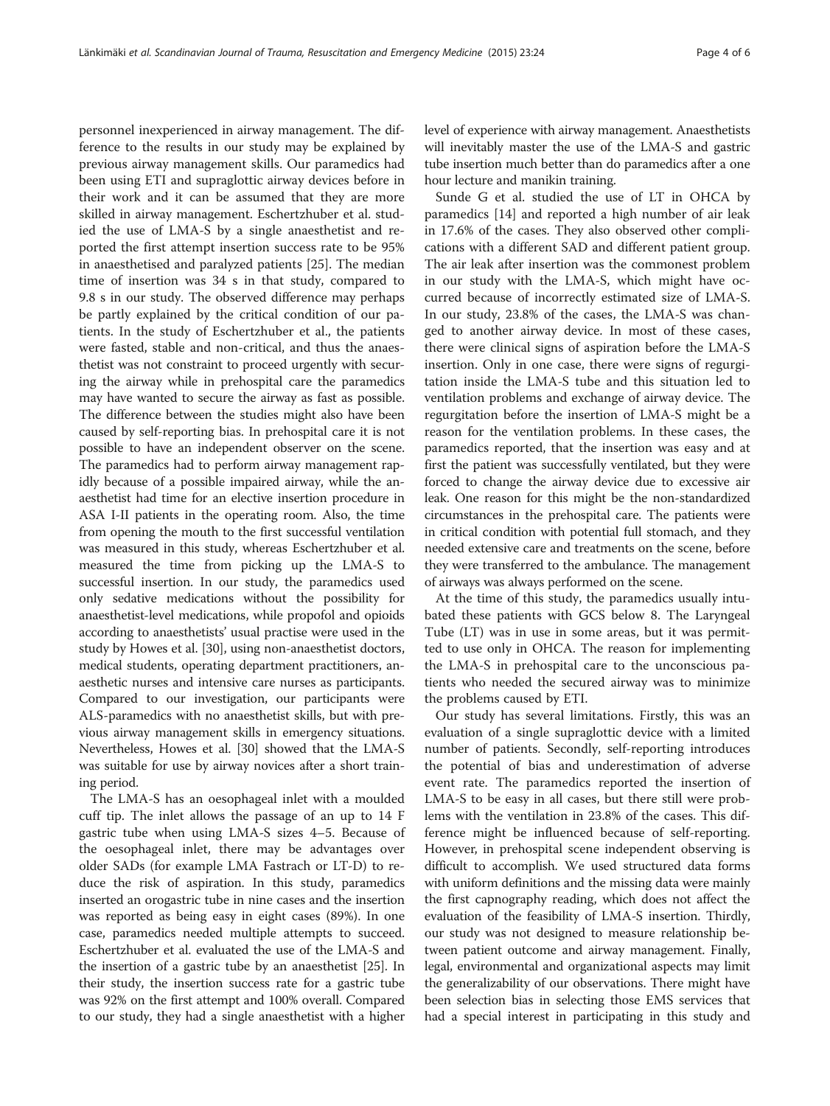personnel inexperienced in airway management. The difference to the results in our study may be explained by previous airway management skills. Our paramedics had been using ETI and supraglottic airway devices before in their work and it can be assumed that they are more skilled in airway management. Eschertzhuber et al. studied the use of LMA-S by a single anaesthetist and reported the first attempt insertion success rate to be 95% in anaesthetised and paralyzed patients [\[25\]](#page-5-0). The median time of insertion was 34 s in that study, compared to 9.8 s in our study. The observed difference may perhaps be partly explained by the critical condition of our patients. In the study of Eschertzhuber et al., the patients were fasted, stable and non-critical, and thus the anaesthetist was not constraint to proceed urgently with securing the airway while in prehospital care the paramedics may have wanted to secure the airway as fast as possible. The difference between the studies might also have been caused by self-reporting bias. In prehospital care it is not possible to have an independent observer on the scene. The paramedics had to perform airway management rapidly because of a possible impaired airway, while the anaesthetist had time for an elective insertion procedure in ASA I-II patients in the operating room. Also, the time from opening the mouth to the first successful ventilation was measured in this study, whereas Eschertzhuber et al. measured the time from picking up the LMA-S to successful insertion. In our study, the paramedics used only sedative medications without the possibility for anaesthetist-level medications, while propofol and opioids according to anaesthetists' usual practise were used in the study by Howes et al. [[30](#page-5-0)], using non-anaesthetist doctors, medical students, operating department practitioners, anaesthetic nurses and intensive care nurses as participants. Compared to our investigation, our participants were ALS-paramedics with no anaesthetist skills, but with previous airway management skills in emergency situations. Nevertheless, Howes et al. [\[30\]](#page-5-0) showed that the LMA-S was suitable for use by airway novices after a short training period.

The LMA-S has an oesophageal inlet with a moulded cuff tip. The inlet allows the passage of an up to 14 F gastric tube when using LMA-S sizes 4–5. Because of the oesophageal inlet, there may be advantages over older SADs (for example LMA Fastrach or LT-D) to reduce the risk of aspiration. In this study, paramedics inserted an orogastric tube in nine cases and the insertion was reported as being easy in eight cases (89%). In one case, paramedics needed multiple attempts to succeed. Eschertzhuber et al. evaluated the use of the LMA-S and the insertion of a gastric tube by an anaesthetist [\[25](#page-5-0)]. In their study, the insertion success rate for a gastric tube was 92% on the first attempt and 100% overall. Compared to our study, they had a single anaesthetist with a higher

level of experience with airway management. Anaesthetists will inevitably master the use of the LMA-S and gastric tube insertion much better than do paramedics after a one hour lecture and manikin training.

Sunde G et al. studied the use of LT in OHCA by paramedics [[14\]](#page-4-0) and reported a high number of air leak in 17.6% of the cases. They also observed other complications with a different SAD and different patient group. The air leak after insertion was the commonest problem in our study with the LMA-S, which might have occurred because of incorrectly estimated size of LMA-S. In our study, 23.8% of the cases, the LMA-S was changed to another airway device. In most of these cases, there were clinical signs of aspiration before the LMA-S insertion. Only in one case, there were signs of regurgitation inside the LMA-S tube and this situation led to ventilation problems and exchange of airway device. The regurgitation before the insertion of LMA-S might be a reason for the ventilation problems. In these cases, the paramedics reported, that the insertion was easy and at first the patient was successfully ventilated, but they were forced to change the airway device due to excessive air leak. One reason for this might be the non-standardized circumstances in the prehospital care. The patients were in critical condition with potential full stomach, and they needed extensive care and treatments on the scene, before they were transferred to the ambulance. The management of airways was always performed on the scene.

At the time of this study, the paramedics usually intubated these patients with GCS below 8. The Laryngeal Tube (LT) was in use in some areas, but it was permitted to use only in OHCA. The reason for implementing the LMA-S in prehospital care to the unconscious patients who needed the secured airway was to minimize the problems caused by ETI.

Our study has several limitations. Firstly, this was an evaluation of a single supraglottic device with a limited number of patients. Secondly, self-reporting introduces the potential of bias and underestimation of adverse event rate. The paramedics reported the insertion of LMA-S to be easy in all cases, but there still were problems with the ventilation in 23.8% of the cases. This difference might be influenced because of self-reporting. However, in prehospital scene independent observing is difficult to accomplish. We used structured data forms with uniform definitions and the missing data were mainly the first capnography reading, which does not affect the evaluation of the feasibility of LMA-S insertion. Thirdly, our study was not designed to measure relationship between patient outcome and airway management. Finally, legal, environmental and organizational aspects may limit the generalizability of our observations. There might have been selection bias in selecting those EMS services that had a special interest in participating in this study and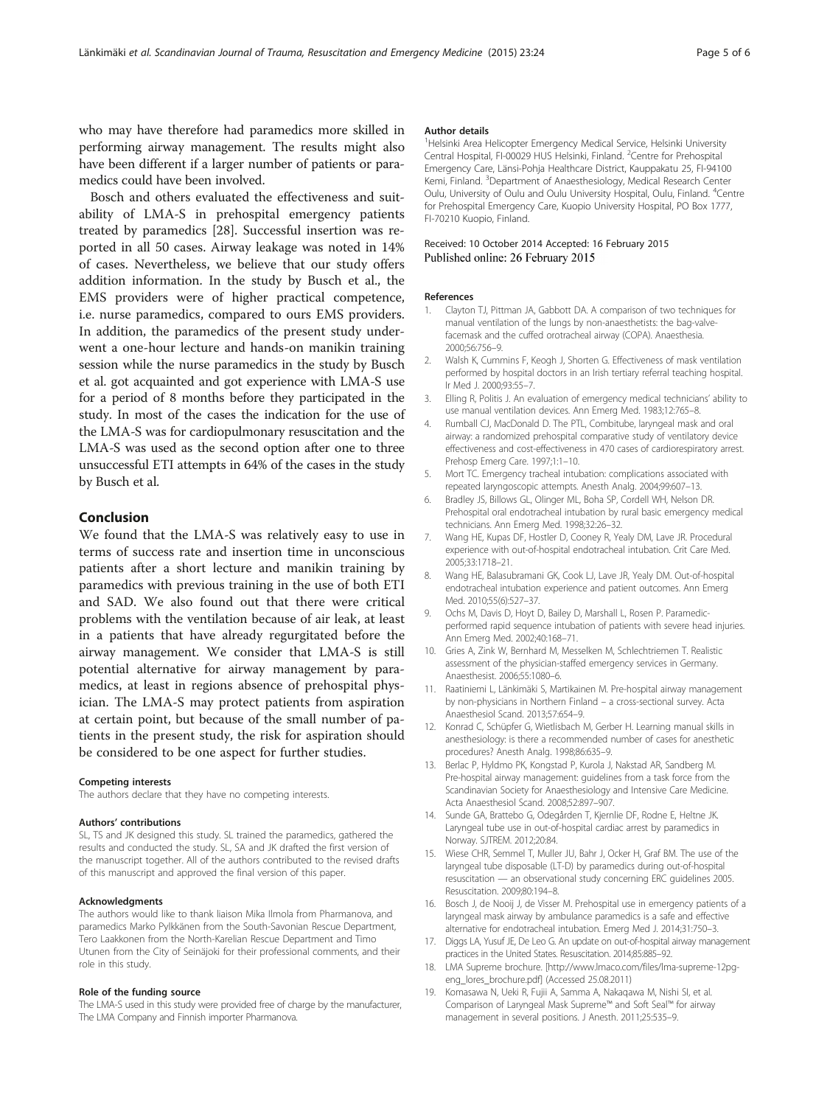<span id="page-4-0"></span>who may have therefore had paramedics more skilled in performing airway management. The results might also have been different if a larger number of patients or paramedics could have been involved.

Bosch and others evaluated the effectiveness and suitability of LMA-S in prehospital emergency patients treated by paramedics [\[28](#page-5-0)]. Successful insertion was reported in all 50 cases. Airway leakage was noted in 14% of cases. Nevertheless, we believe that our study offers addition information. In the study by Busch et al., the EMS providers were of higher practical competence, i.e. nurse paramedics, compared to ours EMS providers. In addition, the paramedics of the present study underwent a one-hour lecture and hands-on manikin training session while the nurse paramedics in the study by Busch et al. got acquainted and got experience with LMA-S use for a period of 8 months before they participated in the study. In most of the cases the indication for the use of the LMA-S was for cardiopulmonary resuscitation and the LMA-S was used as the second option after one to three unsuccessful ETI attempts in 64% of the cases in the study by Busch et al.

## Conclusion

We found that the LMA-S was relatively easy to use in terms of success rate and insertion time in unconscious patients after a short lecture and manikin training by paramedics with previous training in the use of both ETI and SAD. We also found out that there were critical problems with the ventilation because of air leak, at least in a patients that have already regurgitated before the airway management. We consider that LMA-S is still potential alternative for airway management by paramedics, at least in regions absence of prehospital physician. The LMA-S may protect patients from aspiration at certain point, but because of the small number of patients in the present study, the risk for aspiration should be considered to be one aspect for further studies.

## Competing interests

The authors declare that they have no competing interests.

## Authors' contributions

SL, TS and JK designed this study. SL trained the paramedics, gathered the results and conducted the study. SL, SA and JK drafted the first version of the manuscript together. All of the authors contributed to the revised drafts of this manuscript and approved the final version of this paper.

#### Acknowledgments

The authors would like to thank liaison Mika Ilmola from Pharmanova, and paramedics Marko Pylkkänen from the South-Savonian Rescue Department, Tero Laakkonen from the North-Karelian Rescue Department and Timo Utunen from the City of Seinäjoki for their professional comments, and their role in this study.

## Role of the funding source

The LMA-S used in this study were provided free of charge by the manufacturer, The LMA Company and Finnish importer Pharmanova.

#### Author details

<sup>1</sup> Helsinki Area Helicopter Emergency Medical Service, Helsinki University Central Hospital, FI-00029 HUS Helsinki, Finland. <sup>2</sup> Centre for Prehospital Emergency Care, Länsi-Pohja Healthcare District, Kauppakatu 25, FI-94100 Kemi, Finland. <sup>3</sup>Department of Anaesthesiology, Medical Research Center Oulu, University of Oulu and Oulu University Hospital, Oulu, Finland. <sup>4</sup>Centre for Prehospital Emergency Care, Kuopio University Hospital, PO Box 1777, FI-70210 Kuopio, Finland.

## Received: 10 October 2014 Accepted: 16 February 2015 Published online: 26 February 2015

### References

- 1. Clayton TJ, Pittman JA, Gabbott DA. A comparison of two techniques for manual ventilation of the lungs by non-anaesthetists: the bag-valvefacemask and the cuffed orotracheal airway (COPA). Anaesthesia. 2000;56:756–9.
- 2. Walsh K, Cummins F, Keogh J, Shorten G. Effectiveness of mask ventilation performed by hospital doctors in an Irish tertiary referral teaching hospital. Ir Med J. 2000;93:55–7.
- 3. Elling R, Politis J. An evaluation of emergency medical technicians' ability to use manual ventilation devices. Ann Emerg Med. 1983;12:765–8.
- Rumball CJ, MacDonald D. The PTL, Combitube, laryngeal mask and oral airway: a randomized prehospital comparative study of ventilatory device effectiveness and cost-effectiveness in 470 cases of cardiorespiratory arrest. Prehosp Emerg Care. 1997;1:1–10.
- 5. Mort TC. Emergency tracheal intubation: complications associated with repeated laryngoscopic attempts. Anesth Analg. 2004;99:607–13.
- 6. Bradley JS, Billows GL, Olinger ML, Boha SP, Cordell WH, Nelson DR. Prehospital oral endotracheal intubation by rural basic emergency medical technicians. Ann Emerg Med. 1998;32:26–32.
- 7. Wang HE, Kupas DF, Hostler D, Cooney R, Yealy DM, Lave JR. Procedural experience with out-of-hospital endotracheal intubation. Crit Care Med. 2005;33:1718–21.
- 8. Wang HE, Balasubramani GK, Cook LJ, Lave JR, Yealy DM. Out-of-hospital endotracheal intubation experience and patient outcomes. Ann Emerg Med. 2010;55(6):527–37.
- 9. Ochs M, Davis D, Hoyt D, Bailey D, Marshall L, Rosen P. Paramedicperformed rapid sequence intubation of patients with severe head injuries. Ann Emerg Med. 2002;40:168–71.
- 10. Gries A, Zink W, Bernhard M, Messelken M, Schlechtriemen T. Realistic assessment of the physician-staffed emergency services in Germany. Anaesthesist. 2006;55:1080–6.
- 11. Raatiniemi L, Länkimäki S, Martikainen M. Pre-hospital airway management by non-physicians in Northern Finland – a cross-sectional survey. Acta Anaesthesiol Scand. 2013;57:654–9.
- 12. Konrad C, Schüpfer G, Wietlisbach M, Gerber H. Learning manual skills in anesthesiology: is there a recommended number of cases for anesthetic procedures? Anesth Analg. 1998;86:635–9.
- 13. Berlac P, Hyldmo PK, Kongstad P, Kurola J, Nakstad AR, Sandberg M. Pre-hospital airway management: guidelines from a task force from the Scandinavian Society for Anaesthesiology and Intensive Care Medicine. Acta Anaesthesiol Scand. 2008;52:897–907.
- 14. Sunde GA, Brattebo G, Odegården T, Kjernlie DF, Rodne E, Heltne JK. Laryngeal tube use in out-of-hospital cardiac arrest by paramedics in Norway. SJTREM. 2012;20:84.
- 15. Wiese CHR, Semmel T, Muller JU, Bahr J, Ocker H, Graf BM. The use of the laryngeal tube disposable (LT-D) by paramedics during out-of-hospital resuscitation — an observational study concerning ERC guidelines 2005. Resuscitation. 2009;80:194–8.
- 16. Bosch J, de Nooij J, de Visser M. Prehospital use in emergency patients of a laryngeal mask airway by ambulance paramedics is a safe and effective alternative for endotracheal intubation. Emerg Med J. 2014;31:750–3.
- 17. Diggs LA, Yusuf JE, De Leo G. An update on out-of-hospital airway management practices in the United States. Resuscitation. 2014;85:885–92.
- 18. LMA Supreme brochure. [\[http://www.lmaco.com/files/lma-supreme-12pg](http://www.lmaco.com/files/lma-supreme-12pg-eng_lores_brochure.pdf)[eng\\_lores\\_brochure.pdf\]](http://www.lmaco.com/files/lma-supreme-12pg-eng_lores_brochure.pdf) (Accessed 25.08.2011)
- 19. Komasawa N, Ueki R, Fujii A, Samma A, Nakaqawa M, Nishi SI, et al. Comparison of Laryngeal Mask Supreme™ and Soft Seal™ for airway management in several positions. J Anesth. 2011;25:535–9.